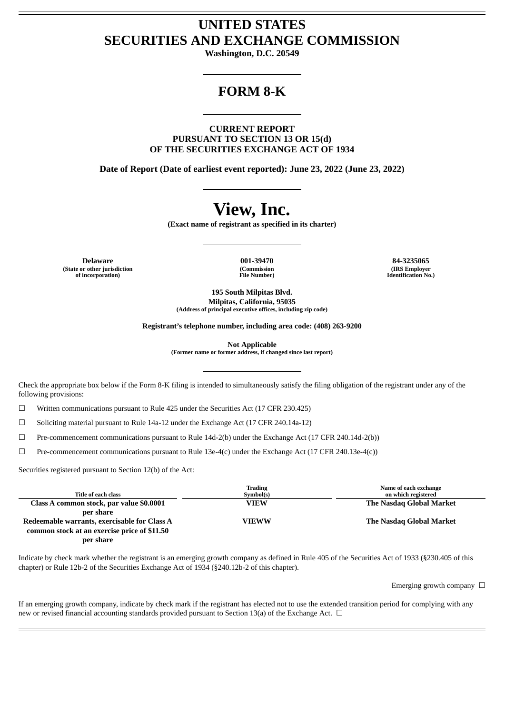## **UNITED STATES SECURITIES AND EXCHANGE COMMISSION**

**Washington, D.C. 20549**

## **FORM 8-K**

**CURRENT REPORT PURSUANT TO SECTION 13 OR 15(d) OF THE SECURITIES EXCHANGE ACT OF 1934**

**Date of Report (Date of earliest event reported): June 23, 2022 (June 23, 2022)**

# **View, Inc.**

**(Exact name of registrant as specified in its charter)**

**Delaware 001-39470 84-3235065 (State or other jurisdiction of incorporation)**

**(Commission File Number)**

**(IRS Employer Identification No.)**

**195 South Milpitas Blvd. Milpitas, California, 95035 (Address of principal executive offices, including zip code)**

**Registrant's telephone number, including area code: (408) 263-9200**

**Not Applicable**

**(Former name or former address, if changed since last report)**

Check the appropriate box below if the Form 8-K filing is intended to simultaneously satisfy the filing obligation of the registrant under any of the following provisions:

☐ Written communications pursuant to Rule 425 under the Securities Act (17 CFR 230.425)

 $\Box$  Soliciting material pursuant to Rule 14a-12 under the Exchange Act (17 CFR 240.14a-12)

☐ Pre-commencement communications pursuant to Rule 14d-2(b) under the Exchange Act (17 CFR 240.14d-2(b))

 $\Box$  Pre-commencement communications pursuant to Rule 13e-4(c) under the Exchange Act (17 CFR 240.13e-4(c))

Securities registered pursuant to Section 12(b) of the Act:

| Title of each class                          | Trading<br>Symbol(s) | Name of each exchange<br>on which registered |
|----------------------------------------------|----------------------|----------------------------------------------|
| Class A common stock, par value \$0.0001     | <b>VIEW</b>          | The Nasdag Global Market                     |
| per share                                    |                      |                                              |
| Redeemable warrants, exercisable for Class A | <b>VIEWW</b>         | The Nasdag Global Market                     |
| common stock at an exercise price of \$11.50 |                      |                                              |
| per share                                    |                      |                                              |

Indicate by check mark whether the registrant is an emerging growth company as defined in Rule 405 of the Securities Act of 1933 (§230.405 of this chapter) or Rule 12b-2 of the Securities Exchange Act of 1934 (§240.12b-2 of this chapter).

Emerging growth company  $\Box$ 

If an emerging growth company, indicate by check mark if the registrant has elected not to use the extended transition period for complying with any new or revised financial accounting standards provided pursuant to Section 13(a) of the Exchange Act.  $\Box$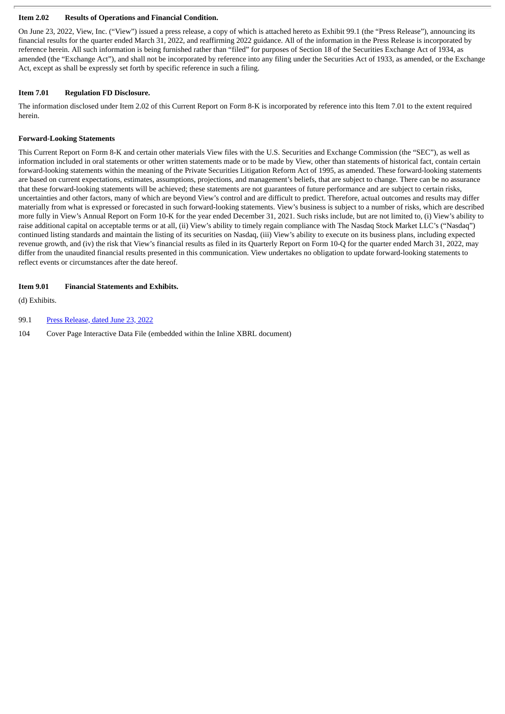#### **Item 2.02 Results of Operations and Financial Condition.**

On June 23, 2022, View, Inc. ("View") issued a press release, a copy of which is attached hereto as Exhibit 99.1 (the "Press Release"), announcing its financial results for the quarter ended March 31, 2022, and reaffirming 2022 guidance. All of the information in the Press Release is incorporated by reference herein. All such information is being furnished rather than "filed" for purposes of Section 18 of the Securities Exchange Act of 1934, as amended (the "Exchange Act"), and shall not be incorporated by reference into any filing under the Securities Act of 1933, as amended, or the Exchange Act, except as shall be expressly set forth by specific reference in such a filing.

#### **Item 7.01 Regulation FD Disclosure.**

The information disclosed under Item 2.02 of this Current Report on Form 8-K is incorporated by reference into this Item 7.01 to the extent required herein.

#### **Forward-Looking Statements**

This Current Report on Form 8-K and certain other materials View files with the U.S. Securities and Exchange Commission (the "SEC"), as well as information included in oral statements or other written statements made or to be made by View, other than statements of historical fact, contain certain forward-looking statements within the meaning of the Private Securities Litigation Reform Act of 1995, as amended. These forward-looking statements are based on current expectations, estimates, assumptions, projections, and management's beliefs, that are subject to change. There can be no assurance that these forward-looking statements will be achieved; these statements are not guarantees of future performance and are subject to certain risks, uncertainties and other factors, many of which are beyond View's control and are difficult to predict. Therefore, actual outcomes and results may differ materially from what is expressed or forecasted in such forward-looking statements. View's business is subject to a number of risks, which are described more fully in View's Annual Report on Form 10-K for the year ended December 31, 2021. Such risks include, but are not limited to, (i) View's ability to raise additional capital on acceptable terms or at all, (ii) View's ability to timely regain compliance with The Nasdaq Stock Market LLC's ("Nasdaq") continued listing standards and maintain the listing of its securities on Nasdaq, (iii) View's ability to execute on its business plans, including expected revenue growth, and (iv) the risk that View's financial results as filed in its Quarterly Report on Form 10-Q for the quarter ended March 31, 2022, may differ from the unaudited financial results presented in this communication. View undertakes no obligation to update forward-looking statements to reflect events or circumstances after the date hereof.

#### **Item 9.01 Financial Statements and Exhibits.**

(d) Exhibits.

99.1 Press [Release,](#page-3-0) dated June 23, 2022

104 Cover Page Interactive Data File (embedded within the Inline XBRL document)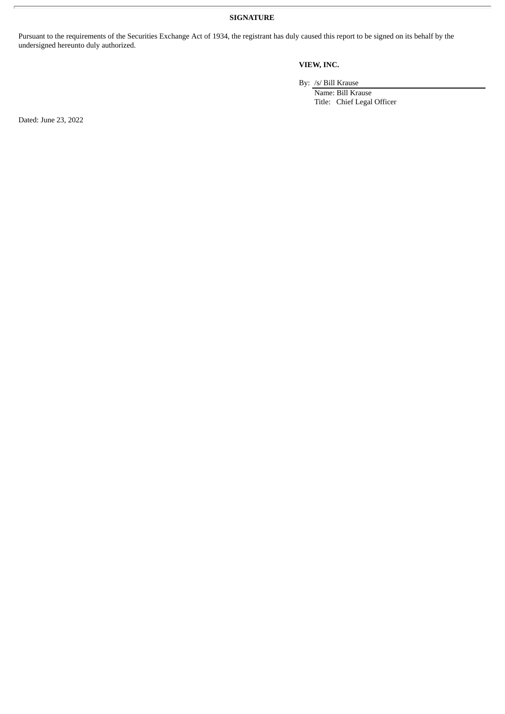**SIGNATURE**

Pursuant to the requirements of the Securities Exchange Act of 1934, the registrant has duly caused this report to be signed on its behalf by the undersigned hereunto duly authorized.

### **VIEW, INC.**

By: /s/ Bill Krause

Name: Bill Krause Title: Chief Legal Officer

Dated: June 23, 2022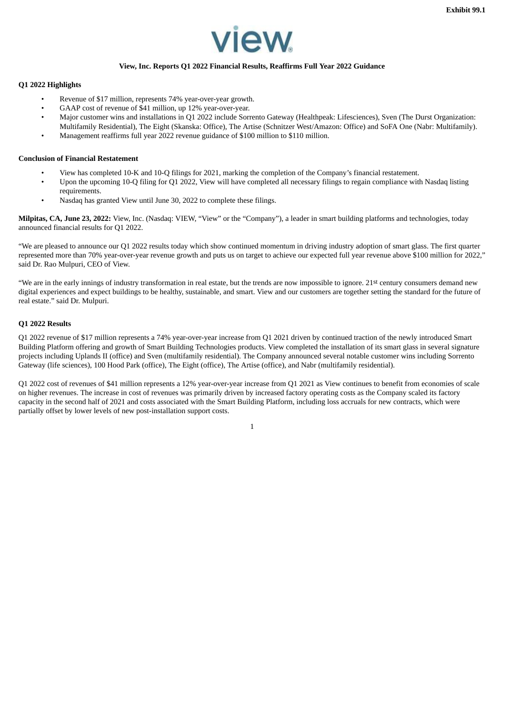

#### **View, Inc. Reports Q1 2022 Financial Results, Reaffirms Full Year 2022 Guidance**

#### <span id="page-3-0"></span>**Q1 2022 Highlights**

- Revenue of \$17 million, represents 74% year-over-year growth.
- GAAP cost of revenue of \$41 million, up 12% year-over-year.
- Major customer wins and installations in Q1 2022 include Sorrento Gateway (Healthpeak: Lifesciences), Sven (The Durst Organization: Multifamily Residential), The Eight (Skanska: Office), The Artise (Schnitzer West/Amazon: Office) and SoFA One (Nabr: Multifamily).
- Management reaffirms full year 2022 revenue guidance of \$100 million to \$110 million.

#### **Conclusion of Financial Restatement**

- View has completed 10-K and 10-Q filings for 2021, marking the completion of the Company's financial restatement.
- Upon the upcoming 10-Q filing for Q1 2022, View will have completed all necessary filings to regain compliance with Nasdaq listing requirements.
- Nasdaq has granted View until June 30, 2022 to complete these filings.

**Milpitas, CA, June 23, 2022:** View, Inc. (Nasdaq: VIEW, "View" or the "Company"), a leader in smart building platforms and technologies, today announced financial results for Q1 2022.

"We are pleased to announce our Q1 2022 results today which show continued momentum in driving industry adoption of smart glass. The first quarter represented more than 70% year-over-year revenue growth and puts us on target to achieve our expected full year revenue above \$100 million for 2022," said Dr. Rao Mulpuri, CEO of View.

"We are in the early innings of industry transformation in real estate, but the trends are now impossible to ignore. 21st century consumers demand new digital experiences and expect buildings to be healthy, sustainable, and smart. View and our customers are together setting the standard for the future of real estate." said Dr. Mulpuri.

#### **Q1 2022 Results**

Q1 2022 revenue of \$17 million represents a 74% year-over-year increase from Q1 2021 driven by continued traction of the newly introduced Smart Building Platform offering and growth of Smart Building Technologies products. View completed the installation of its smart glass in several signature projects including Uplands II (office) and Sven (multifamily residential). The Company announced several notable customer wins including Sorrento Gateway (life sciences), 100 Hood Park (office), The Eight (office), The Artise (office), and Nabr (multifamily residential).

Q1 2022 cost of revenues of \$41 million represents a 12% year-over-year increase from Q1 2021 as View continues to benefit from economies of scale on higher revenues. The increase in cost of revenues was primarily driven by increased factory operating costs as the Company scaled its factory capacity in the second half of 2021 and costs associated with the Smart Building Platform, including loss accruals for new contracts, which were partially offset by lower levels of new post-installation support costs.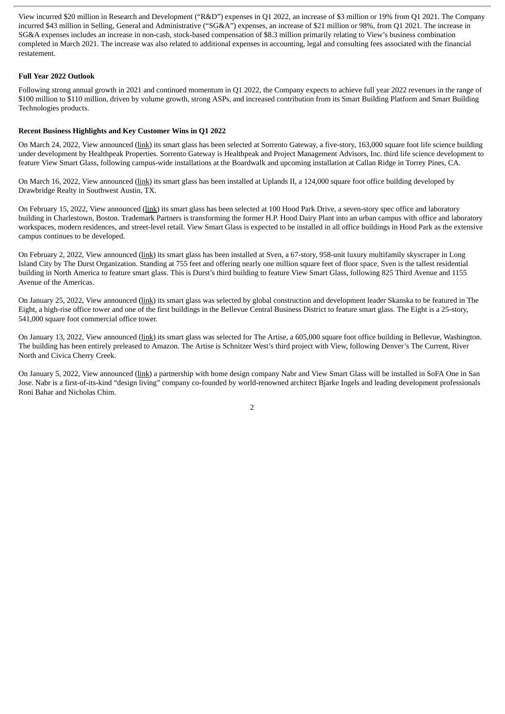View incurred \$20 million in Research and Development ("R&D") expenses in Q1 2022, an increase of \$3 million or 19% from Q1 2021. The Company incurred \$43 million in Selling, General and Administrative ("SG&A") expenses, an increase of \$21 million or 98%, from Q1 2021. The increase in SG&A expenses includes an increase in non-cash, stock-based compensation of \$8.3 million primarily relating to View's business combination completed in March 2021. The increase was also related to additional expenses in accounting, legal and consulting fees associated with the financial restatement.

#### **Full Year 2022 Outlook**

Following strong annual growth in 2021 and continued momentum in Q1 2022, the Company expects to achieve full year 2022 revenues in the range of \$100 million to \$110 million, driven by volume growth, strong ASPs, and increased contribution from its Smart Building Platform and Smart Building Technologies products.

#### **Recent Business Highlights and Key Customer Wins in Q1 2022**

On March 24, 2022, View announced (link) its smart glass has been selected at Sorrento Gateway, a five-story, 163,000 square foot life science building under development by Healthpeak Properties. Sorrento Gateway is Healthpeak and Project Management Advisors, Inc. third life science development to feature View Smart Glass, following campus-wide installations at the Boardwalk and upcoming installation at Callan Ridge in Torrey Pines, CA.

On March 16, 2022, View announced (link) its smart glass has been installed at Uplands II, a 124,000 square foot office building developed by Drawbridge Realty in Southwest Austin, TX.

On February 15, 2022, View announced (link) its smart glass has been selected at 100 Hood Park Drive, a seven-story spec office and laboratory building in Charlestown, Boston. Trademark Partners is transforming the former H.P. Hood Dairy Plant into an urban campus with office and laboratory workspaces, modern residences, and street-level retail. View Smart Glass is expected to be installed in all office buildings in Hood Park as the extensive campus continues to be developed.

On February 2, 2022, View announced (link) its smart glass has been installed at Sven, a 67-story, 958-unit luxury multifamily skyscraper in Long Island City by The Durst Organization. Standing at 755 feet and offering nearly one million square feet of floor space, Sven is the tallest residential building in North America to feature smart glass. This is Durst's third building to feature View Smart Glass, following 825 Third Avenue and 1155 Avenue of the Americas.

On January 25, 2022, View announced (link) its smart glass was selected by global construction and development leader Skanska to be featured in The Eight, a high-rise office tower and one of the first buildings in the Bellevue Central Business District to feature smart glass. The Eight is a 25-story, 541,000 square foot commercial office tower.

On January 13, 2022, View announced (link) its smart glass was selected for The Artise, a 605,000 square foot office building in Bellevue, Washington. The building has been entirely preleased to Amazon. The Artise is Schnitzer West's third project with View, following Denver's The Current, River North and Civica Cherry Creek.

On January 5, 2022, View announced (link) a partnership with home design company Nabr and View Smart Glass will be installed in SoFA One in San Jose. Nabr is a first-of-its-kind "design living" company co-founded by world-renowned architect Bjarke Ingels and leading development professionals Roni Bahar and Nicholas Chim.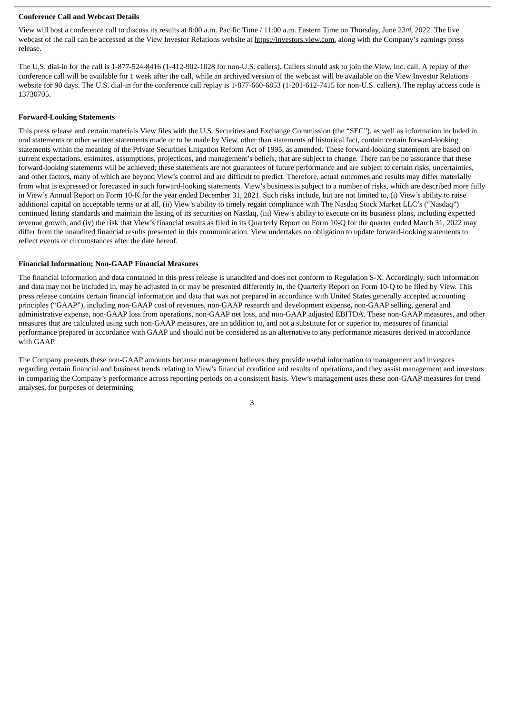#### **Conference Call and Webcast Details**

View will host a conference call to discuss its results at 8:00 a.m. Pacific Time / 11:00 a.m. Eastern Time on Thursday, June 23rd, 2022. The live webcast of the call can be accessed at the View Investor Relations website at https://investors.view.com, along with the Company's earnings press release.

The U.S. dial-in for the call is 1-877-524-8416 (1-412-902-1028 for non-U.S. callers). Callers should ask to join the View, Inc. call. A replay of the conference call will be available for 1 week after the call, while an archived version of the webcast will be available on the View Investor Relations website for 90 days. The U.S. dial-in for the conference call replay is 1-877-660-6853 (1-201-612-7415 for non-U.S. callers). The replay access code is 13730705.

#### **Forward-Looking Statements**

This press release and certain materials View files with the U.S. Securities and Exchange Commission (the "SEC"), as well as information included in oral statements or other written statements made or to be made by View, other than statements of historical fact, contain certain forward-looking statements within the meaning of the Private Securities Litigation Reform Act of 1995, as amended. These forward-looking statements are based on current expectations, estimates, assumptions, projections, and management's beliefs, that are subject to change. There can be no assurance that these forward-looking statements will be achieved; these statements are not guarantees of future performance and are subject to certain risks, uncertainties, and other factors, many of which are beyond View's control and are difficult to predict. Therefore, actual outcomes and results may differ materially from what is expressed or forecasted in such forward-looking statements. View's business is subject to a number of risks, which are described more fully in View's Annual Report on Form 10-K for the year ended December 31, 2021. Such risks include, but are not limited to, (i) View's ability to raise additional capital on acceptable terms or at all, (ii) View's ability to timely regain compliance with The Nasdaq Stock Market LLC's ("Nasdaq") continued listing standards and maintain the listing of its securities on Nasdaq, (iii) View's ability to execute on its business plans, including expected revenue growth, and (iv) the risk that View's financial results as filed in its Quarterly Report on Form 10-Q for the quarter ended March 31, 2022 may differ from the unaudited financial results presented in this communication. View undertakes no obligation to update forward-looking statements to reflect events or circumstances after the date hereof.

#### **Financial Information; Non-GAAP Financial Measures**

The financial information and data contained in this press release is unaudited and does not conform to Regulation S-X. Accordingly, such information and data may not be included in, may be adjusted in or may be presented differently in, the Quarterly Report on Form 10-Q to be filed by View. This press release contains certain financial information and data that was not prepared in accordance with United States generally accepted accounting principles ("GAAP"), including non-GAAP cost of revenues, non-GAAP research and development expense, non-GAAP selling, general and administrative expense, non-GAAP loss from operations, non-GAAP net loss, and non-GAAP adjusted EBITDA. These non-GAAP measures, and other measures that are calculated using such non-GAAP measures, are an addition to, and not a substitute for or superior to, measures of financial performance prepared in accordance with GAAP and should not be considered as an alternative to any performance measures derived in accordance with GAAP.

The Company presents these non-GAAP amounts because management believes they provide useful information to management and investors regarding certain financial and business trends relating to View's financial condition and results of operations, and they assist management and investors in comparing the Company's performance across reporting periods on a consistent basis. View's management uses these non-GAAP measures for trend analyses, for purposes of determining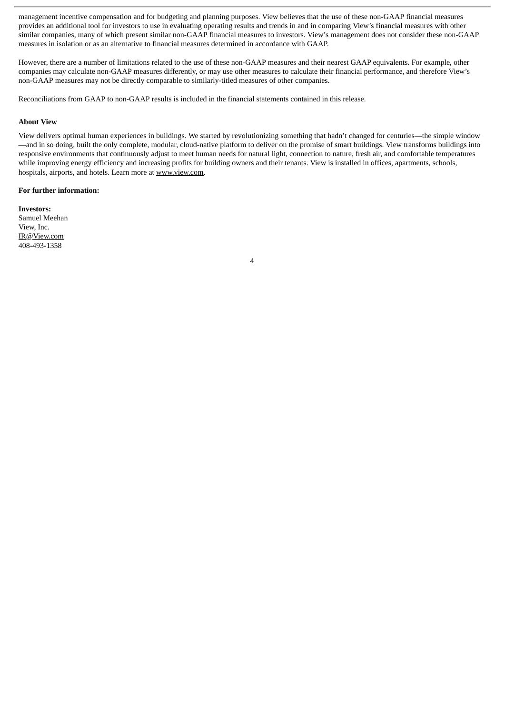management incentive compensation and for budgeting and planning purposes. View believes that the use of these non-GAAP financial measures provides an additional tool for investors to use in evaluating operating results and trends in and in comparing View's financial measures with other similar companies, many of which present similar non-GAAP financial measures to investors. View's management does not consider these non-GAAP measures in isolation or as an alternative to financial measures determined in accordance with GAAP.

However, there are a number of limitations related to the use of these non-GAAP measures and their nearest GAAP equivalents. For example, other companies may calculate non-GAAP measures differently, or may use other measures to calculate their financial performance, and therefore View's non-GAAP measures may not be directly comparable to similarly-titled measures of other companies.

Reconciliations from GAAP to non-GAAP results is included in the financial statements contained in this release.

#### **About View**

View delivers optimal human experiences in buildings. We started by revolutionizing something that hadn't changed for centuries—the simple window —and in so doing, built the only complete, modular, cloud-native platform to deliver on the promise of smart buildings. View transforms buildings into responsive environments that continuously adjust to meet human needs for natural light, connection to nature, fresh air, and comfortable temperatures while improving energy efficiency and increasing profits for building owners and their tenants. View is installed in offices, apartments, schools, hospitals, airports, and hotels. Learn more at www.view.com.

4

#### **For further information:**

**Investors:** Samuel Meehan View, Inc. IR@View.com 408-493-1358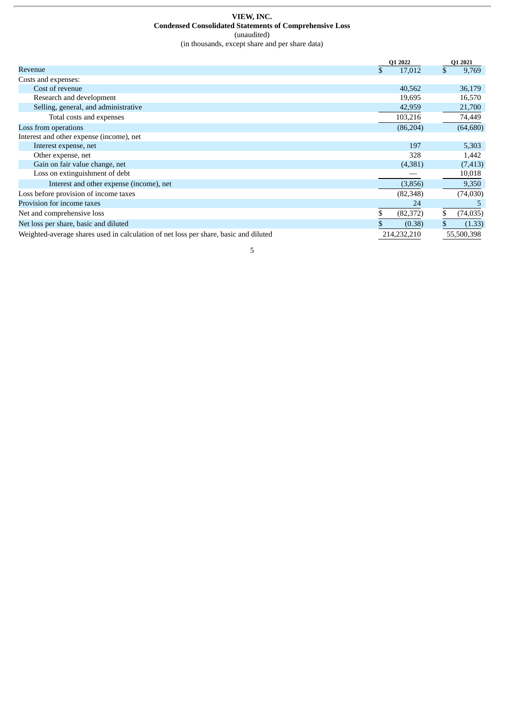#### **VIEW, INC. Condensed Consolidated Statements of Comprehensive Loss** (unaudited) (in thousands, except share and per share data)

|                                                                                      | Q1 2022      | Q1 2021         |
|--------------------------------------------------------------------------------------|--------------|-----------------|
| Revenue                                                                              | \$<br>17,012 | \$<br>9,769     |
| Costs and expenses:                                                                  |              |                 |
| Cost of revenue                                                                      | 40,562       | 36,179          |
| Research and development                                                             | 19,695       | 16,570          |
| Selling, general, and administrative                                                 | 42,959       | 21,700          |
| Total costs and expenses                                                             | 103,216      | 74,449          |
| Loss from operations                                                                 | (86, 204)    | (64, 680)       |
| Interest and other expense (income), net                                             |              |                 |
| Interest expense, net                                                                | 197          | 5,303           |
| Other expense, net                                                                   | 328          | 1,442           |
| Gain on fair value change, net                                                       | (4,381)      | (7, 413)        |
| Loss on extinguishment of debt                                                       |              | 10,018          |
| Interest and other expense (income), net                                             | (3,856)      | 9,350           |
| Loss before provision of income taxes                                                | (82, 348)    | (74,030)        |
| Provision for income taxes                                                           | 24           |                 |
| Net and comprehensive loss                                                           | (82, 372)    | \$<br>(74, 035) |
| Net loss per share, basic and diluted                                                | (0.38)       | (1.33)          |
| Weighted-average shares used in calculation of net loss per share, basic and diluted | 214,232,210  | 55,500,398      |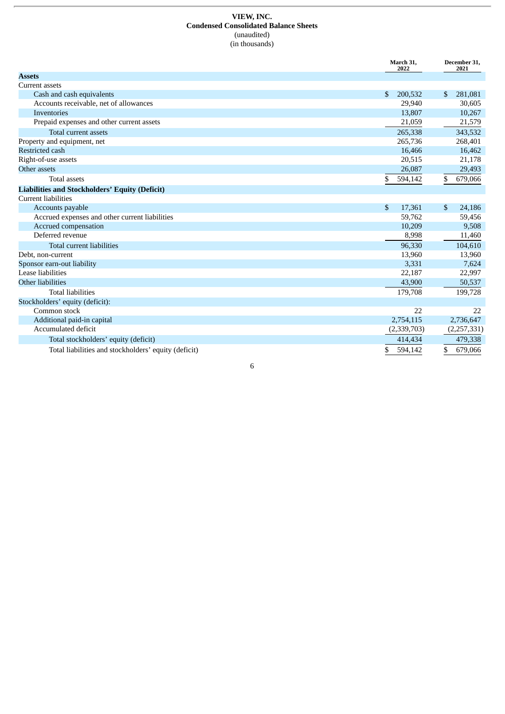#### **VIEW, INC. Condensed Consolidated Balance Sheets** (unaudited) (in thousands)

|                                                       | March 31,<br>2022      | December 31,<br>2021 |
|-------------------------------------------------------|------------------------|----------------------|
| <b>Assets</b>                                         |                        |                      |
| <b>Current assets</b>                                 |                        |                      |
| Cash and cash equivalents                             | \$<br>200,532          | 281,081<br>\$        |
| Accounts receivable, net of allowances                | 29,940                 | 30,605               |
| Inventories                                           | 13,807                 | 10,267               |
| Prepaid expenses and other current assets             | 21,059                 | 21,579               |
| Total current assets                                  | 265,338                | 343,532              |
| Property and equipment, net                           | 265,736                | 268,401              |
| <b>Restricted cash</b>                                | 16,466                 | 16,462               |
| Right-of-use assets                                   | 20,515                 | 21,178               |
| Other assets                                          | 26,087                 | 29,493               |
| <b>Total assets</b>                                   | \$<br>594,142          | \$<br>679,066        |
| <b>Liabilities and Stockholders' Equity (Deficit)</b> |                        |                      |
| <b>Current liabilities</b>                            |                        |                      |
| Accounts payable                                      | $\mathbb{S}$<br>17,361 | \$<br>24,186         |
| Accrued expenses and other current liabilities        | 59,762                 | 59,456               |
| Accrued compensation                                  | 10,209                 | 9,508                |
| Deferred revenue                                      | 8,998                  | 11,460               |
| <b>Total current liabilities</b>                      | 96,330                 | 104,610              |
| Debt, non-current                                     | 13,960                 | 13,960               |
| Sponsor earn-out liability                            | 3,331                  | 7,624                |
| Lease liabilities                                     | 22,187                 | 22,997               |
| Other liabilities                                     | 43,900                 | 50,537               |
| <b>Total liabilities</b>                              | 179,708                | 199,728              |
| Stockholders' equity (deficit):                       |                        |                      |
| Common stock                                          | 22                     | 22                   |
| Additional paid-in capital                            | 2,754,115              | 2,736,647            |
| Accumulated deficit                                   | (2,339,703)            | (2,257,331)          |
| Total stockholders' equity (deficit)                  | 414,434                | 479,338              |
| Total liabilities and stockholders' equity (deficit)  | \$<br>594,142          | \$<br>679,066        |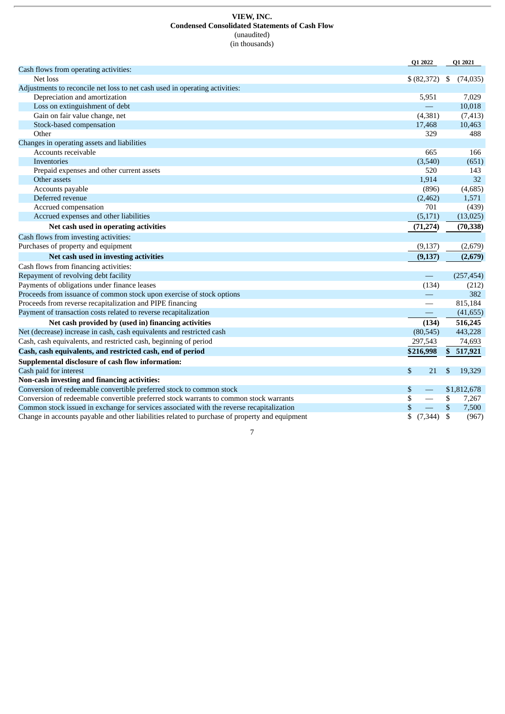#### **VIEW, INC. Condensed Consolidated Statements of Cash Flow** (unaudited) (in thousands)

|                                                                                                | Q1 2022                                   | Q1 2021         |
|------------------------------------------------------------------------------------------------|-------------------------------------------|-----------------|
| Cash flows from operating activities:                                                          |                                           |                 |
| Net loss                                                                                       | \$ (82, 372)                              | \$<br>(74, 035) |
| Adjustments to reconcile net loss to net cash used in operating activities:                    |                                           |                 |
| Depreciation and amortization                                                                  | 5,951                                     | 7,029           |
| Loss on extinguishment of debt                                                                 |                                           | 10,018          |
| Gain on fair value change, net                                                                 | (4, 381)                                  | (7, 413)        |
| Stock-based compensation                                                                       | 17,468                                    | 10,463          |
| Other                                                                                          | 329                                       | 488             |
| Changes in operating assets and liabilities                                                    |                                           |                 |
| Accounts receivable                                                                            | 665                                       | 166             |
| Inventories                                                                                    | (3,540)                                   | (651)           |
| Prepaid expenses and other current assets                                                      | 520                                       | 143             |
| Other assets                                                                                   | 1,914                                     | 32              |
| Accounts payable                                                                               | (896)                                     | (4,685)         |
| Deferred revenue                                                                               | (2,462)                                   | 1,571           |
| Accrued compensation                                                                           | 701                                       | (439)           |
| Accrued expenses and other liabilities                                                         | (5,171)                                   | (13, 025)       |
| Net cash used in operating activities                                                          | (71, 274)                                 | (70, 338)       |
| Cash flows from investing activities:                                                          |                                           |                 |
| Purchases of property and equipment                                                            | (9,137)                                   | (2,679)         |
| Net cash used in investing activities                                                          | (9, 137)                                  | (2,679)         |
| Cash flows from financing activities:                                                          |                                           |                 |
| Repayment of revolving debt facility                                                           | $\qquad \qquad -$                         | (257, 454)      |
| Payments of obligations under finance leases                                                   | (134)                                     | (212)           |
| Proceeds from issuance of common stock upon exercise of stock options                          |                                           | 382             |
| Proceeds from reverse recapitalization and PIPE financing                                      |                                           | 815,184         |
| Payment of transaction costs related to reverse recapitalization                               | $\qquad \qquad \overline{\qquad \qquad }$ | (41, 655)       |
| Net cash provided by (used in) financing activities                                            | (134)                                     | 516,245         |
| Net (decrease) increase in cash, cash equivalents and restricted cash                          | (80, 545)                                 | 443,228         |
| Cash, cash equivalents, and restricted cash, beginning of period                               | 297,543                                   | 74,693          |
| Cash, cash equivalents, and restricted cash, end of period                                     | \$216,998                                 | 517,921<br>\$   |
| Supplemental disclosure of cash flow information:                                              |                                           |                 |
| Cash paid for interest                                                                         | \$<br>21                                  | \$<br>19,329    |
| Non-cash investing and financing activities:                                                   |                                           |                 |
| Conversion of redeemable convertible preferred stock to common stock                           | \$                                        | \$1,812,678     |
| Conversion of redeemable convertible preferred stock warrants to common stock warrants         | \$                                        | \$<br>7,267     |
| Common stock issued in exchange for services associated with the reverse recapitalization      | \$                                        | \$<br>7,500     |
| Change in accounts payable and other liabilities related to purchase of property and equipment | (7, 344)                                  | \$<br>(967)     |